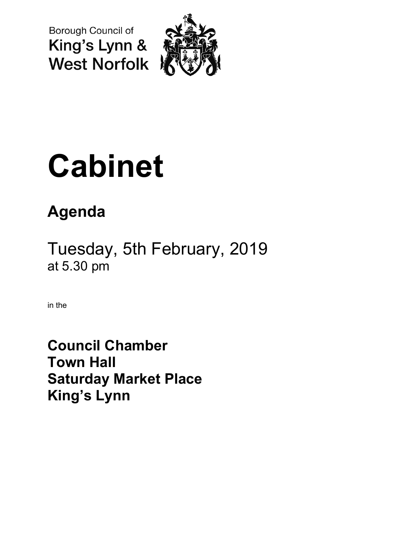Borough Council of King's Lynn & **West Norfolk** 



# **Cabinet**

# **Agenda**

Tuesday, 5th February, 2019 at 5.30 pm

in the

**Council Chamber Town Hall Saturday Market Place King's Lynn**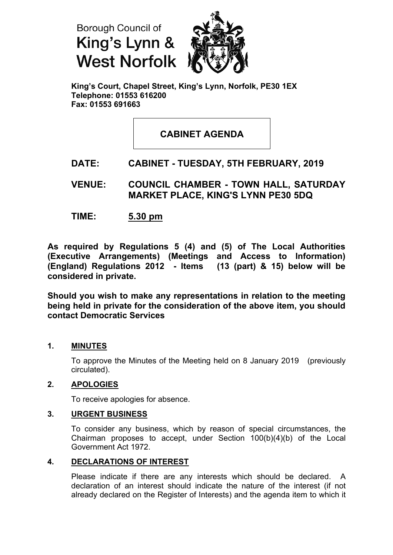



**King's Court, Chapel Street, King's Lynn, Norfolk, PE30 1EX Telephone: 01553 616200 Fax: 01553 691663**

## **CABINET AGENDA**

### **DATE: CABINET - TUESDAY, 5TH FEBRUARY, 2019**

**VENUE: COUNCIL CHAMBER - TOWN HALL, SATURDAY MARKET PLACE, KING'S LYNN PE30 5DQ**

**TIME: 5.30 pm**

**As required by Regulations 5 (4) and (5) of The Local Authorities (Executive Arrangements) (Meetings and Access to Information) (England) Regulations 2012 - Items (13 (part) & 15) below will be considered in private.**

**Should you wish to make any representations in relation to the meeting being held in private for the consideration of the above item, you should contact Democratic Services**

#### **1. MINUTES**

To approve the Minutes of the Meeting held on 8 January 2019 (previously circulated).

#### **2. APOLOGIES**

To receive apologies for absence.

#### **3. URGENT BUSINESS**

To consider any business, which by reason of special circumstances, the Chairman proposes to accept, under Section 100(b)(4)(b) of the Local Government Act 1972.

#### **4. DECLARATIONS OF INTEREST**

Please indicate if there are any interests which should be declared. A declaration of an interest should indicate the nature of the interest (if not already declared on the Register of Interests) and the agenda item to which it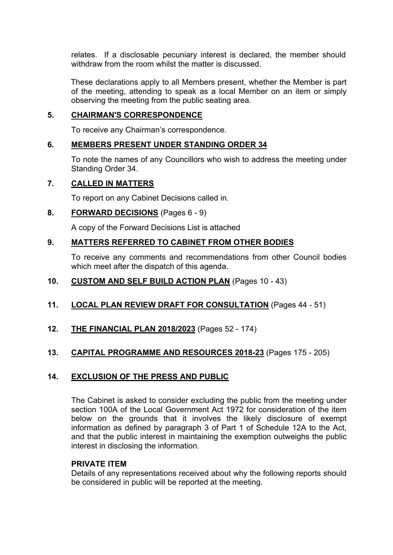relates. If a disclosable pecuniary interest is declared, the member should withdraw from the room whilst the matter is discussed.

These declarations apply to all Members present, whether the Member is part of the meeting, attending to speak as a local Member on an item or simply observing the meeting from the public seating area.

#### **5. CHAIRMAN'S CORRESPONDENCE**

To receive any Chairman's correspondence.

#### **6. MEMBERS PRESENT UNDER STANDING ORDER 34**

To note the names of any Councillors who wish to address the meeting under Standing Order 34.

#### **7. CALLED IN MATTERS**

To report on any Cabinet Decisions called in.

#### **8. FORWARD DECISIONS** (Pages 6 - 9)

A copy of the Forward Decisions List is attached

#### **9. MATTERS REFERRED TO CABINET FROM OTHER BODIES**

To receive any comments and recommendations from other Council bodies which meet after the dispatch of this agenda.

#### **10. CUSTOM AND SELF BUILD ACTION PLAN** (Pages 10 - 43)

#### **11. LOCAL PLAN REVIEW DRAFT FOR CONSULTATION** (Pages 44 - 51)

**12. THE FINANCIAL PLAN 2018/2023** (Pages 52 - 174)

#### **13. CAPITAL PROGRAMME AND RESOURCES 2018-23** (Pages 175 - 205)

#### **14. EXCLUSION OF THE PRESS AND PUBLIC**

The Cabinet is asked to consider excluding the public from the meeting under section 100A of the Local Government Act 1972 for consideration of the item below on the grounds that it involves the likely disclosure of exempt information as defined by paragraph 3 of Part 1 of Schedule 12A to the Act, and that the public interest in maintaining the exemption outweighs the public interest in disclosing the information.

#### **PRIVATE ITEM**

Details of any representations received about why the following reports should be considered in public will be reported at the meeting.